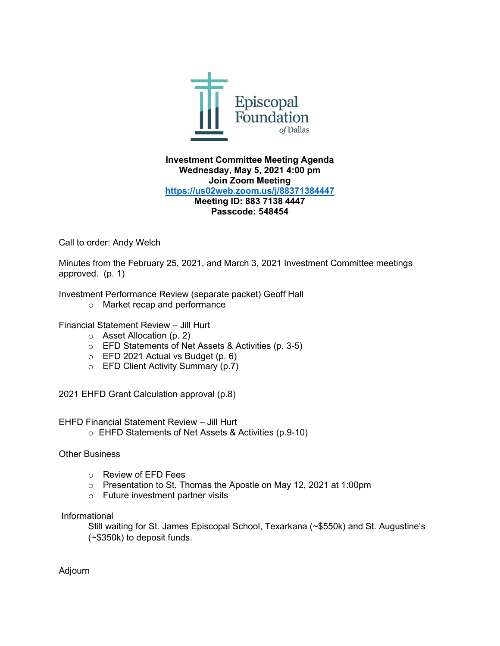

## **Investment Committee Meeting Agenda Wednesday, May 5, 2021 4:00 pm Join Zoom Meeting <https://us02web.zoom.us/j/88371384447> Meeting ID: 883 7138 4447 Passcode: 548454**

Call to order: Andy Welch

Minutes from the February 25, 2021, and March 3, 2021 Investment Committee meetings approved. (p. 1)

Investment Performance Review (separate packet) Geoff Hall

o Market recap and performance

Financial Statement Review – Jill Hurt

- o Asset Allocation (p. 2)
- o EFD Statements of Net Assets & Activities (p. 3-5)
- $\circ$  EFD 2021 Actual vs Budget (p. 6)
- o EFD Client Activity Summary (p.7)

2021 EHFD Grant Calculation approval (p.8)

EHFD Financial Statement Review – Jill Hurt

o EHFD Statements of Net Assets & Activities (p.9-10)

### Other Business

- o Review of EFD Fees
- o Presentation to St. Thomas the Apostle on May 12, 2021 at 1:00pm
- o Future investment partner visits

Informational

Still waiting for St. James Episcopal School, Texarkana (~\$550k) and St. Augustine's (~\$350k) to deposit funds.

Adjourn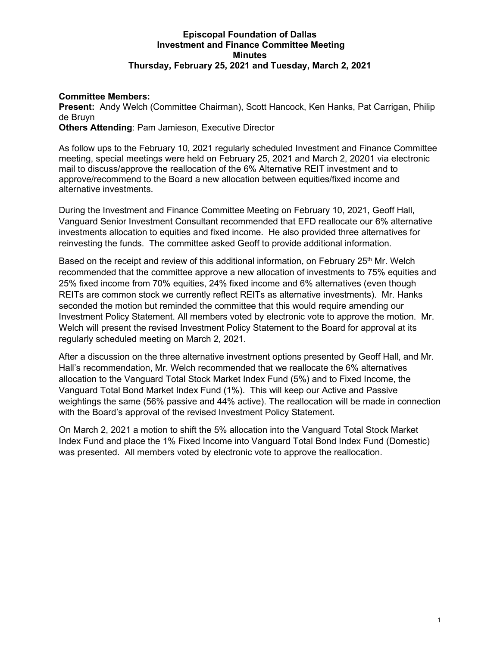## **Episcopal Foundation of Dallas Investment and Finance Committee Meeting Minutes Thursday, February 25, 2021 and Tuesday, March 2, 2021**

## **Committee Members:**

**Present:** Andy Welch (Committee Chairman), Scott Hancock, Ken Hanks, Pat Carrigan, Philip de Bruyn

**Others Attending**: Pam Jamieson, Executive Director

As follow ups to the February 10, 2021 regularly scheduled Investment and Finance Committee meeting, special meetings were held on February 25, 2021 and March 2, 20201 via electronic mail to discuss/approve the reallocation of the 6% Alternative REIT investment and to approve/recommend to the Board a new allocation between equities/fixed income and alternative investments.

During the Investment and Finance Committee Meeting on February 10, 2021, Geoff Hall, Vanguard Senior Investment Consultant recommended that EFD reallocate our 6% alternative investments allocation to equities and fixed income. He also provided three alternatives for reinvesting the funds. The committee asked Geoff to provide additional information.

Based on the receipt and review of this additional information, on February  $25<sup>th</sup>$  Mr. Welch recommended that the committee approve a new allocation of investments to 75% equities and 25% fixed income from 70% equities, 24% fixed income and 6% alternatives (even though REITs are common stock we currently reflect REITs as alternative investments). Mr. Hanks seconded the motion but reminded the committee that this would require amending our Investment Policy Statement. All members voted by electronic vote to approve the motion. Mr. Welch will present the revised Investment Policy Statement to the Board for approval at its regularly scheduled meeting on March 2, 2021.

After a discussion on the three alternative investment options presented by Geoff Hall, and Mr. Hall's recommendation, Mr. Welch recommended that we reallocate the 6% alternatives allocation to the Vanguard Total Stock Market Index Fund (5%) and to Fixed Income, the Vanguard Total Bond Market Index Fund (1%). This will keep our Active and Passive weightings the same (56% passive and 44% active). The reallocation will be made in connection with the Board's approval of the revised Investment Policy Statement.

On March 2, 2021 a motion to shift the 5% allocation into the Vanguard Total Stock Market Index Fund and place the 1% Fixed Income into Vanguard Total Bond Index Fund (Domestic) was presented. All members voted by electronic vote to approve the reallocation.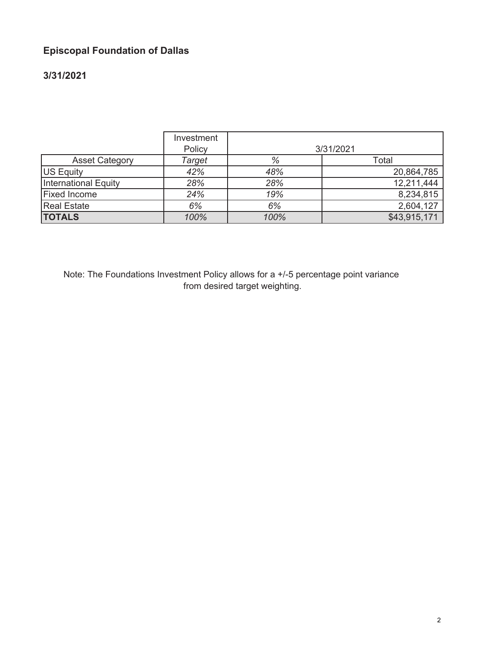# **Episcopal Foundation of Dallas**

# **3/31/2021**

|                       | Investment<br>Policy |      | 3/31/2021    |
|-----------------------|----------------------|------|--------------|
| <b>Asset Category</b> | Target               | %    | Total        |
| US Equity             | 42%                  | 48%  | 20,864,785   |
| International Equity  | 28%                  | 28%  | 12,211,444   |
| <b>Fixed Income</b>   | 24%                  | 19%  | 8,234,815    |
| <b>Real Estate</b>    | 6%                   | 6%   | 2,604,127    |
| <b>TOTALS</b>         | 100%                 | 100% | \$43,915,171 |

Note: The Foundations Investment Policy allows for a +/-5 percentage point variance from desired target weighting.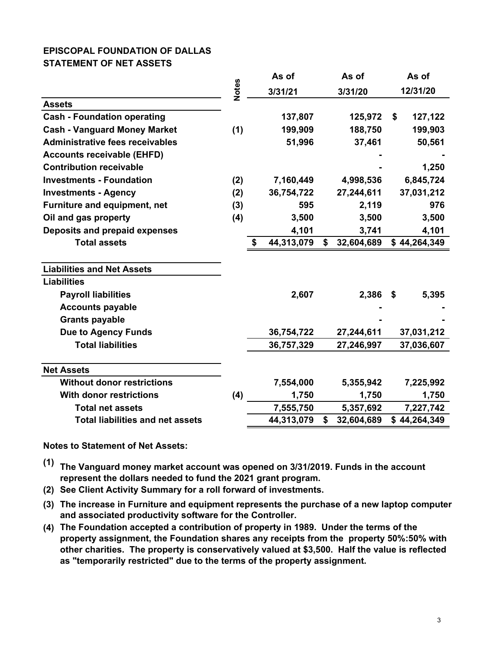## **EPISCOPAL FOUNDATION OF DALLAS STATEMENT OF NET ASSETS**

|                                         |              |    | As of      |    | As of      |    | As of        |
|-----------------------------------------|--------------|----|------------|----|------------|----|--------------|
|                                         | <b>Notes</b> |    | 3/31/21    |    | 3/31/20    |    | 12/31/20     |
| <b>Assets</b>                           |              |    |            |    |            |    |              |
| <b>Cash - Foundation operating</b>      |              |    | 137,807    |    | 125,972    | \$ | 127,122      |
| <b>Cash - Vanguard Money Market</b>     | (1)          |    | 199,909    |    | 188,750    |    | 199,903      |
| <b>Administrative fees receivables</b>  |              |    | 51,996     |    | 37,461     |    | 50,561       |
| <b>Accounts receivable (EHFD)</b>       |              |    |            |    |            |    |              |
| <b>Contribution receivable</b>          |              |    |            |    |            |    | 1,250        |
| <b>Investments - Foundation</b>         | (2)          |    | 7,160,449  |    | 4,998,536  |    | 6,845,724    |
| <b>Investments - Agency</b>             | (2)          |    | 36,754,722 |    | 27,244,611 |    | 37,031,212   |
| <b>Furniture and equipment, net</b>     | (3)          |    | 595        |    | 2,119      |    | 976          |
| Oil and gas property                    | (4)          |    | 3,500      |    | 3,500      |    | 3,500        |
| Deposits and prepaid expenses           |              |    | 4,101      |    | 3,741      |    | 4,101        |
| <b>Total assets</b>                     |              | \$ | 44,313,079 | \$ | 32,604,689 |    | \$44,264,349 |
|                                         |              |    |            |    |            |    |              |
| <b>Liabilities and Net Assets</b>       |              |    |            |    |            |    |              |
| <b>Liabilities</b>                      |              |    |            |    |            |    |              |
| <b>Payroll liabilities</b>              |              |    | 2,607      |    | 2,386      | \$ | 5,395        |
| <b>Accounts payable</b>                 |              |    |            |    |            |    |              |
| <b>Grants payable</b>                   |              |    |            |    |            |    |              |
| <b>Due to Agency Funds</b>              |              |    | 36,754,722 |    | 27,244,611 |    | 37,031,212   |
| <b>Total liabilities</b>                |              |    | 36,757,329 |    | 27,246,997 |    | 37,036,607   |
| <b>Net Assets</b>                       |              |    |            |    |            |    |              |
| <b>Without donor restrictions</b>       |              |    | 7,554,000  |    | 5,355,942  |    | 7,225,992    |
| <b>With donor restrictions</b>          | (4)          |    | 1,750      |    | 1,750      |    | 1,750        |
| <b>Total net assets</b>                 |              |    | 7,555,750  |    | 5,357,692  |    | 7,227,742    |
| <b>Total liabilities and net assets</b> |              |    | 44,313,079 | \$ | 32,604,689 |    | \$44,264,349 |

**Notes to Statement of Net Assets:**

- **(1) The Vanguard money market account was opened on 3/31/2019. Funds in the account represent the dollars needed to fund the 2021 grant program.**
- **(2) See Client Activity Summary for a roll forward of investments.**
- **(3) The increase in Furniture and equipment represents the purchase of a new laptop computer and associated productivity software for the Controller.**
- **(4) The Foundation accepted a contribution of property in 1989. Under the terms of the property assignment, the Foundation shares any receipts from the property 50%:50% with other charities. The property is conservatively valued at \$3,500. Half the value is reflected as "temporarily restricted" due to the terms of the property assignment.**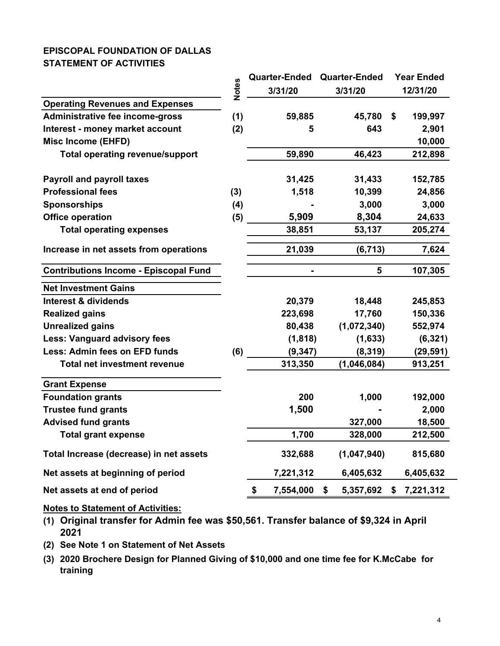# **EPISCOPAL FOUNDATION OF DALLAS STATEMENT OF ACTIVITIES**

|                                              |              | <b>Quarter-Ended</b> | <b>Quarter-Ended</b> |                | <b>Year Ended</b> |           |
|----------------------------------------------|--------------|----------------------|----------------------|----------------|-------------------|-----------|
|                                              | <b>Notes</b> | 3/31/20              |                      | 3/31/20        |                   | 12/31/20  |
| <b>Operating Revenues and Expenses</b>       |              |                      |                      |                |                   |           |
| Administrative fee income-gross              | (1)          | 59,885               |                      | 45,780         | \$                | 199,997   |
| Interest - money market account              | (2)          | 5                    |                      | 643            |                   | 2,901     |
| <b>Misc Income (EHFD)</b>                    |              |                      |                      |                |                   | 10,000    |
| <b>Total operating revenue/support</b>       |              | 59,890               |                      | 46,423         |                   | 212,898   |
| <b>Payroll and payroll taxes</b>             |              | 31,425               |                      | 31,433         |                   | 152,785   |
| <b>Professional fees</b>                     | (3)          | 1,518                |                      | 10,399         |                   | 24,856    |
| <b>Sponsorships</b>                          | (4)          |                      |                      | 3,000          |                   | 3,000     |
| <b>Office operation</b>                      | (5)          | 5,909                |                      | 8,304          |                   | 24,633    |
| <b>Total operating expenses</b>              |              | 38,851               |                      | 53,137         |                   | 205,274   |
| Increase in net assets from operations       |              | 21,039               |                      | (6, 713)       |                   | 7,624     |
| <b>Contributions Income - Episcopal Fund</b> |              |                      |                      | $5\phantom{1}$ |                   | 107,305   |
| <b>Net Investment Gains</b>                  |              |                      |                      |                |                   |           |
| <b>Interest &amp; dividends</b>              |              | 20,379               |                      | 18,448         |                   | 245,853   |
| <b>Realized gains</b>                        |              | 223,698              |                      | 17,760         |                   | 150,336   |
| <b>Unrealized gains</b>                      |              | 80,438               |                      | (1,072,340)    |                   | 552,974   |
| <b>Less: Vanguard advisory fees</b>          |              | (1, 818)             |                      | (1,633)        |                   | (6, 321)  |
| Less: Admin fees on EFD funds                | (6)          | (9, 347)             |                      | (8, 319)       |                   | (29, 591) |
| <b>Total net investment revenue</b>          |              | 313,350              |                      | (1,046,084)    |                   | 913,251   |
| <b>Grant Expense</b>                         |              |                      |                      |                |                   |           |
| <b>Foundation grants</b>                     |              | 200                  |                      | 1,000          |                   | 192,000   |
| <b>Trustee fund grants</b>                   |              | 1,500                |                      |                |                   | 2,000     |
| <b>Advised fund grants</b>                   |              |                      |                      | 327,000        |                   | 18,500    |
| <b>Total grant expense</b>                   |              | 1,700                |                      | 328,000        |                   | 212,500   |
| Total Increase (decrease) in net assets      |              | 332,688              |                      | (1,047,940)    |                   | 815,680   |
| Net assets at beginning of period            |              | 7,221,312            |                      | 6,405,632      |                   | 6,405,632 |
| Net assets at end of period                  |              | \$<br>7,554,000      | \$                   | 5,357,692      | \$                | 7,221,312 |

**Notes to Statement of Activities:**

**(1) Original transfer for Admin fee was \$50,561. Transfer balance of \$9,324 in April 2021**

- **(2) See Note 1 on Statement of Net Assets**
- **(3) 2020 Brochere Design for Planned Giving of \$10,000 and one time fee for K.McCabe for training**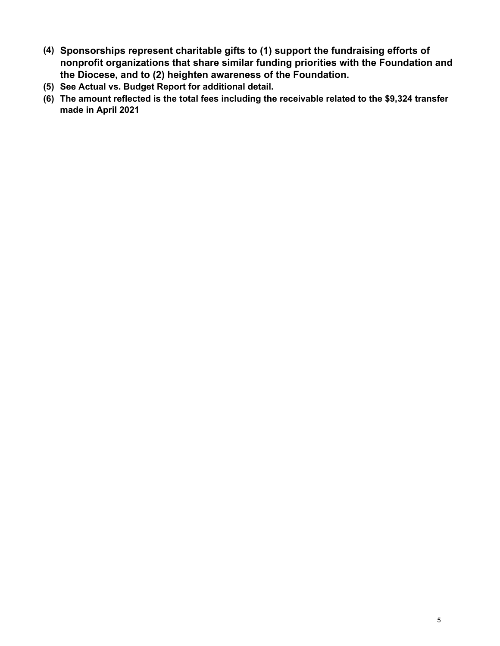- **(4) Sponsorships represent charitable gifts to (1) support the fundraising efforts of nonprofit organizations that share similar funding priorities with the Foundation and the Diocese, and to (2) heighten awareness of the Foundation.**
- **(5) See Actual vs. Budget Report for additional detail.**
- **(6) The amount reflected is the total fees including the receivable related to the \$9,324 transfer made in April 2021**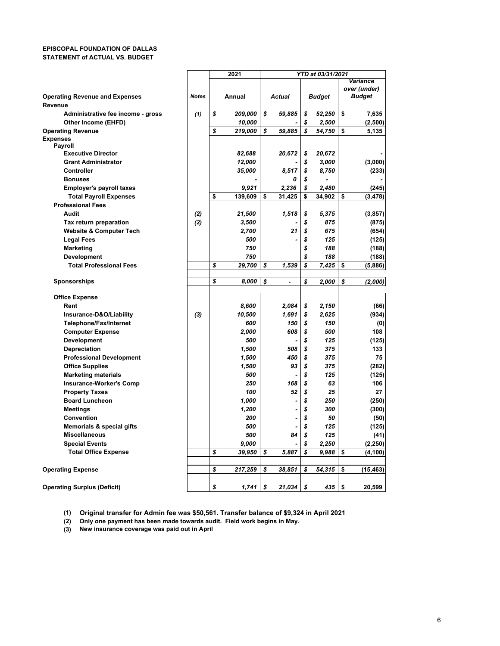#### **EPISCOPAL FOUNDATION OF DALLAS STATEMENT of ACTUAL VS. BUDGET**

|                                       |              | 2021          |                      | <b>YTD at 03/31/2021</b> |    |              |  |  |
|---------------------------------------|--------------|---------------|----------------------|--------------------------|----|--------------|--|--|
|                                       |              |               |                      |                          |    | Variance     |  |  |
|                                       |              |               |                      |                          |    | over (under) |  |  |
| <b>Operating Revenue and Expenses</b> | <b>Notes</b> | Annual        | <b>Actual</b>        | <b>Budget</b>            |    | Budget       |  |  |
| <b>Revenue</b>                        |              |               |                      |                          |    |              |  |  |
| Administrative fee income - gross     | (1)          | \$<br>209,000 | \$<br>59,885         | \$<br>52,250             | \$ | 7,635        |  |  |
| Other Income (EHFD)                   |              | 10,000        |                      | \$<br>2,500              |    | (2,500)      |  |  |
| <b>Operating Revenue</b>              |              | \$<br>219,000 | \$<br>59,885         | \$<br>54,750             | \$ | 5,135        |  |  |
| <b>Expenses</b>                       |              |               |                      |                          |    |              |  |  |
| Payroll                               |              |               |                      |                          |    |              |  |  |
| <b>Executive Director</b>             |              | 82,688        | 20,672               | \$<br>20,672             |    |              |  |  |
| <b>Grant Administrator</b>            |              | 12,000        |                      | \$<br>3,000              |    | (3,000)      |  |  |
| Controller                            |              | 35,000        | 8,517                | \$<br>8,750              |    | (233)        |  |  |
| <b>Bonuses</b>                        |              |               | 0                    |                          |    |              |  |  |
| <b>Employer's payroll taxes</b>       |              | 9,921         | 2,236                | \$<br>2.480              |    | (245)        |  |  |
| <b>Total Payroll Expenses</b>         |              | \$<br>139.609 | \$<br>31,425         | \$<br>34,902             | \$ | (3, 478)     |  |  |
| <b>Professional Fees</b>              |              |               |                      |                          |    |              |  |  |
| Audit                                 | (2)          | 21,500        | 1,518                | \$<br>5,375              |    | (3, 857)     |  |  |
| Tax return preparation                | (2)          | 3,500         |                      | \$<br>875                |    | (875)        |  |  |
| <b>Website &amp; Computer Tech</b>    |              | 2,700         | 21                   | \$<br>675                |    | (654)        |  |  |
| <b>Legal Fees</b>                     |              | 500           |                      | \$<br>125                |    | (125)        |  |  |
| Marketing                             |              | 750           |                      | \$<br>188                |    | (188)        |  |  |
| Development                           |              | 750           |                      | \$<br>188                |    | (188)        |  |  |
| <b>Total Professional Fees</b>        |              | \$<br>29,700  | \$<br>1,539          | \$<br>7,425              | \$ | (5,886)      |  |  |
|                                       |              |               |                      |                          |    |              |  |  |
| <b>Sponsorships</b>                   |              | \$<br>8,000   | \$<br>$\overline{a}$ | \$<br>2,000              | \$ | (2,000)      |  |  |
|                                       |              |               |                      |                          |    |              |  |  |
| <b>Office Expense</b>                 |              |               |                      |                          |    |              |  |  |
| Rent                                  |              | 8,600         | 2,084                | \$<br>2,150              |    | (66)         |  |  |
| Insurance-D&O/Liability               | (3)          | 10,500        | 1,691                | \$<br>2.625              |    | (934)        |  |  |
| Telephone/Fax/Internet                |              | 600           | 150                  | \$<br>150                |    | (0)          |  |  |
| <b>Computer Expense</b>               |              | 2.000         | 608                  | \$<br>500                |    | 108          |  |  |
| Development                           |              | 500           |                      | \$<br>125                |    | (125)        |  |  |
| <b>Depreciation</b>                   |              | 1,500         | 508                  | \$<br>375                |    | 133          |  |  |
| <b>Professional Development</b>       |              | 1,500         | 450                  | \$<br>375                |    | 75           |  |  |
| <b>Office Supplies</b>                |              | 1,500         | 93                   | \$<br>375                |    | (282)        |  |  |
| <b>Marketing materials</b>            |              | 500           |                      | \$<br>125                |    | (125)        |  |  |
| <b>Insurance-Worker's Comp</b>        |              | 250           | 168                  | \$<br>63                 |    | 106          |  |  |
| <b>Property Taxes</b>                 |              | 100           | 52                   | \$<br>25                 |    | 27           |  |  |
| <b>Board Luncheon</b>                 |              | 1,000         |                      | \$<br>250                |    | (250)        |  |  |
| <b>Meetings</b>                       |              | 1,200         |                      | \$<br>300                |    | (300)        |  |  |
| Convention                            |              | 200           |                      | \$<br>50                 |    | (50)         |  |  |
| <b>Memorials &amp; special gifts</b>  |              | 500           |                      | \$<br>125                |    | (125)        |  |  |
| <b>Miscellaneous</b>                  |              | 500           | 84                   | \$<br>125                |    | (41)         |  |  |
| <b>Special Events</b>                 |              | 9,000         |                      | \$<br>2,250              |    | (2, 250)     |  |  |
| <b>Total Office Expense</b>           |              | \$<br>39,950  | \$<br>5,887          | \$<br>9,988              | \$ | (4, 100)     |  |  |
|                                       |              |               |                      |                          |    |              |  |  |
| <b>Operating Expense</b>              |              | \$<br>217,259 | \$<br>38,851         | \$<br>54,315             | \$ | (15, 463)    |  |  |
|                                       |              |               |                      |                          |    |              |  |  |
| <b>Operating Surplus (Deficit)</b>    |              | \$<br>1,741   | \$<br>21,034         | \$<br>435                | \$ | 20,599       |  |  |
|                                       |              |               |                      |                          |    |              |  |  |

**(1) Original transfer for Admin fee was \$50,561. Transfer balance of \$9,324 in April 2021**

**(2) Only one payment has been made towards audit. Field work begins in May.**

**(3) New insurance coverage was paid out in April**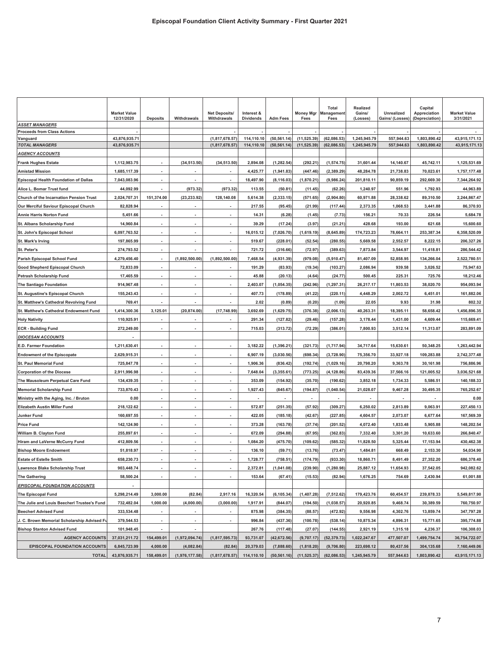|                                                | <b>Market Value</b><br>12/31/2020 | <b>Deposits</b>          | Withdrawals    | <b>Net Deposits/</b><br>Withdrawals | Interest &<br><b>Dividends</b> | <b>Adm Fees</b> | <b>Money Mgr</b><br>Fees | <b>Total</b><br><b>Management</b><br>Fees | Realized<br>Gains/<br>(Losses) | Unrealized<br>Gains/ (Losses) | Capital<br>Appreciation<br>(Depreciation) | <b>Market Value</b><br>3/31/2021 |
|------------------------------------------------|-----------------------------------|--------------------------|----------------|-------------------------------------|--------------------------------|-----------------|--------------------------|-------------------------------------------|--------------------------------|-------------------------------|-------------------------------------------|----------------------------------|
| <b>ASSET MANAGERS</b>                          |                                   |                          |                |                                     |                                |                 |                          |                                           |                                |                               |                                           |                                  |
| <b>Proceeds from Class Actions</b><br>Vanguard | 43,876,935.71                     |                          |                | (1,817,678.57)                      | 114,110.10                     | (50, 561.14)    | (11, 525.39)             | (62,086.53)                               | 1,245,945.79                   | 557,944.63                    | 1,803,890.42                              | 43,915,171.13                    |
| <b>TOTAL MANAGERS</b>                          | 43,876,935.71                     |                          |                | (1,817,678.57)                      | 114,110.10                     | (50, 561.14)    | (11, 525.39)             | (62,086.53)                               | 1,245,945.79                   | 557.944.63                    | 1.803.890.42                              | 43,915,171.13                    |
| <b>AGENCY ACCOUNTS</b>                         |                                   |                          |                |                                     |                                |                 |                          |                                           |                                |                               |                                           |                                  |
| <b>Frank Hughes Estate</b>                     | 1,112,983.75                      |                          | (34, 513.50)   | (34, 513.50)                        | 2,894.08                       | (1, 282.54)     | (292.21)                 | (1,574.75)                                | 31,601.44                      | 14,140.67                     | 45,742.11                                 | 1,125,531.69                     |
| <b>Amistad Mission</b>                         | 1,685,117.39                      | $\overline{\phantom{a}}$ |                |                                     | 4,425.77                       | (1,941.83)      | (447.46)                 | (2, 389.29)                               | 48,284.78                      | 21,738.83                     | 70,023.61                                 | 1,757,177.48                     |
| Episcopal Health Foundation of Dallas          | 7,043,083.96                      |                          |                | $\overline{\phantom{a}}$            | 18,497.90                      | (8, 116.03)     | (1,870.21)               | (9,986.24)                                | 201,810.11                     | 90,859.19                     | 292,669.30                                | 7,344,264.92                     |
| Alice L. Bomar Trust fund                      | 44,092.99                         |                          | (973.32)       | (973.32)                            | 113.55                         | (50.81)         | (11.45)                  | (62.26)                                   | 1,240.97                       | 551.96                        | 1,792.93                                  | 44,963.89                        |
| Church of the Incarnation Pension Trust        | 2,024,707.31                      | 151,374.00               | (23, 233.92)   | 128,140.08                          | 5,614.38                       | (2, 333.15)     | (571.65)                 | (2,904.80)                                | 60.971.88                      | 28,338.62                     | 89,310.50                                 | 2,244,867.47                     |
| Our Merciful Saviour Episcopal Church          | 82,828.94                         |                          |                |                                     | 217.55                         | (95.45)         | (21.99)                  | (117.44)                                  | 2,373.35                       | 1,068.53                      | 3,441.88                                  | 86,370.93                        |
| Annie Harris Norton Fund                       | 5,451.66                          | $\overline{\phantom{a}}$ |                | $\overline{\phantom{a}}$            | 14.31                          | (6.28)          | (1.45)                   | (7.73)                                    | 156.21                         | 70.33                         | 226.54                                    | 5,684.78                         |
| St. Albans Scholarship Fund                    | 14,960.84                         |                          |                |                                     | 39.29                          | (17.24)         | (3.97)                   | (21.21)                                   | 428.68                         | 193.00                        | 621.68                                    | 15,600.60                        |
| St. John's Episcopal School                    | 6,097,763.52                      | $\overline{a}$           |                | $\overline{\phantom{a}}$            | 16,015.12                      | (7,026.70)      | (1,619.19)               | (8,645.89)                                | 174,723.23                     | 78,664.11                     | 253,387.34                                | 6,358,520.09                     |
| St. Mark's Irving                              | 197,865.99                        |                          |                |                                     | 519.67                         | (228.01)        | (52.54)                  | (280.55)                                  | 5,669.58                       | 2,552.57                      | 8,222.15                                  | 206,327.26                       |
| St. Peter's                                    | 274,793.52                        | $\overline{\phantom{a}}$ |                | ٠                                   | 721.72                         | (316.66)        | (72.97)                  | (389.63)                                  | 7,873.84                       | 3,544.97                      | 11,418.81                                 | 286,544.42                       |
| <b>Parish Episcopal School Fund</b>            | 4,279,456.40                      |                          | (1,892,500.00) | (1,892,500.00)                      | 7,468.54                       | (4,931.39)      | (979.08                  | (5,910.47                                 | 81,407.09                      | 52.858.95                     | 134.266.04                                | 2,522,780.51                     |
| <b>Good Shepherd Episcopal Church</b>          | 72,833.09                         | $\overline{\phantom{a}}$ |                |                                     | 191.29                         | (83.93)         | (19.34)                  | (103.27                                   | 2,086.94                       | 939.58                        | 3,026.52                                  | 75,947.63                        |
| Petrash Scholarship Fund                       | 17,465.59                         | $\overline{\phantom{a}}$ |                | ٠                                   | 45.88                          | (20.13)         | (4.64)                   | (24.77)                                   | 500.45                         | 225.31                        | 725.76                                    | 18,212.46                        |
| The Santiago Foundation                        | 914,967.48                        | $\blacksquare$           |                | $\blacksquare$                      | 2,403.07                       | (1,054.35)      | (242.96)                 | (1, 297.31)                               | 26,217.17                      | 11,803.53                     | 38,020.70                                 | 954,093.94                       |
| St. Augustine's Episcopal Church               | 155,243.43                        | $\overline{\phantom{a}}$ |                | $\overline{\phantom{a}}$            | 407.73                         | (178.89)        | (41.22)                  | (220.11)                                  | 4,448.29                       | 2,002.72                      | 6,451.01                                  | 161,882.06                       |
| St. Matthew's Cathedral Revolving Fund         | 769.41                            |                          |                |                                     | 2.02                           | (0.89)          | (0.20)                   | (1.09)                                    | 22.05                          | 9.93                          | 31.98                                     | 802.32                           |
| St. Matthew's Cathedral Endowment Fund         | 1,414,300.36                      | 3,125.01                 | (20, 874.00)   | (17, 748.99)                        | 3,692.69                       | (1,629.75)      | (376.38)                 | (2,006.13                                 | 40,263.31                      | 18,395.11                     | 58,658.42                                 | 1,456,896.35                     |
| <b>Holy Nativity</b>                           | 110,925.91                        | $\blacksquare$           |                |                                     | 291.34                         | (127.82)        | (29.46)                  | (157.28)                                  | 3,178.44                       | 1,431.00                      | 4,609.44                                  | 115,669.41                       |
| <b>ECR - Building Fund</b>                     | 272,249.00                        | $\blacksquare$           |                | $\blacksquare$                      | 715.03                         | (313.72)        | (72.29)                  | (386.01)                                  | 7,800.93                       | 3,512.14                      | 11,313.07                                 | 283,891.09                       |
| <b>DIOCESAN ACCOUNTS</b>                       |                                   |                          |                |                                     |                                |                 |                          |                                           |                                |                               |                                           |                                  |
| E.D. Farmer Foundation                         | 1,211,630.41                      |                          |                |                                     | 3,182.22                       | (1, 396.21)     | (321.73)                 | (1,717.94)                                | 34,717.64                      | 15,630.61                     | 50,348.25                                 | 1,263,442.94                     |
| <b>Endowment of the Episcopate</b>             | 2,629,915.31                      | $\overline{\phantom{a}}$ |                | ٠                                   | 6,907.19                       | (3,030.56)      | (698.34)                 | (3,728.90)                                | 75,356.70                      | 33,927.18                     | 109,283.88                                | 2,742,377.48                     |
| <b>St. Paul Memorial Fund</b>                  | 725,847.78                        | $\blacksquare$           |                | $\blacksquare$                      | 1,906.36                       | (836.42)        | (192.74)                 | (1,029.16)                                | 20,798.20                      | 9,363.78                      | 30,161.98                                 | 756,886.96                       |
| <b>Corporation of the Diocese</b>              | 2,911,996.98                      | $\overline{\phantom{a}}$ |                | $\blacksquare$                      | 7,648.04                       | (3,355.61)      | (773.25                  | (4, 128.86)                               | 83,439.36                      | 37,566.16                     | 121,005.52                                | 3,036,521.68                     |
| The Mausoleum Perpetual Care Fund              | 134,439.35                        |                          |                |                                     | 353.09                         | (154.92)        | (35.70)                  | (190.62)                                  | 3,852.18                       | 1,734.33                      | 5,586.51                                  | 140,188.33                       |
| <b>Memorial Scholarship Fund</b>               | 733,870.43                        |                          |                |                                     | 1,927.43                       | (845.67)        | (194.87)                 | (1,040.54)                                | 21,028.07                      | 9,467.28                      | 30,495.35                                 | 765,252.67                       |
| Ministry with the Aging, Inc. / Bruton         | 0.00                              |                          |                |                                     |                                |                 |                          |                                           |                                |                               |                                           | 0.00                             |
| <b>Elizabeth Austin Miller Fund</b>            | 218,122.62                        | $\overline{a}$           |                | $\overline{\phantom{a}}$            | 572.87                         | (251.35)        | (57.92)                  | (309.27)                                  | 6,250.02                       | 2,813.89                      | 9,063.91                                  | 227,450.13                       |
| Junker Fund                                    | 160,697.55                        | $\overline{\phantom{a}}$ |                | $\blacksquare$                      | 422.05                         | (185.18)        | (42.67)                  | (227.85)                                  | 4,604.57                       | 2,073.07                      | 6,677.64                                  | 167,569.39                       |
| <b>Price Fund</b>                              | 142,124.90                        | $\overline{a}$           |                |                                     | 373.28                         | (163.78)        | (37.74)                  | (201.52)                                  | 4,072.40                       | 1,833.48                      | 5,905.88                                  | 148,202.54                       |
| William B. Clayton Fund                        | 255,897.61                        | $\blacksquare$           |                | $\overline{\phantom{a}}$            | 672.09                         | (294.88)        | (67.95)                  | (362.83)                                  | 7,332.40                       | 3,301.20                      | 10,633.60                                 | 266,840.47                       |
| Hiram and LaVerne McCurry Fund                 | 412,809.56                        | $\overline{\phantom{a}}$ |                |                                     | 1,084.20                       | (475.70)        | (109.62)                 | (585.32)                                  | 11,828.50                      | 5,325.44                      | 17,153.94                                 | 430,462.38                       |
| <b>Bishop Moore Endowment</b>                  | 51,818.97                         | $\blacksquare$           |                | ٠                                   | 136.10                         | (59.71)         | (13.76)                  | (73.47)                                   | 1,484.81                       | 668.49                        | 2,153.30                                  | 54,034.90                        |
| <b>Estate of Estelle Smith</b>                 | 658,230.73                        |                          |                |                                     | 1,728.77                       | (758.51)        | (174.79)                 | (933.30)                                  | 18,860.71                      | 8,491.49                      | 27,352.20                                 | 686.378.40                       |
| Lawrence Blake Scholarship Trust               | 903,448.74                        | $\blacksquare$           | $\blacksquare$ | $\overline{\phantom{a}}$            | 2,372.81                       | (1,041.08)      | (239.90)                 | (1, 280.98)                               | 25,887.12                      | 11,654.93                     | 37,542.05                                 | 942,082.62                       |
| <b>The Gathering</b>                           | 58,500.24                         | $\overline{\phantom{a}}$ |                | $\blacksquare$                      | 153.64                         | (67.41)         | (15.53)                  | (82.94)                                   | 1,676.25                       | 754.69                        | 2,430.94                                  | 61,001.88                        |
| <b>EPISCOPAL FOUNDATION ACCOUNTS</b>           |                                   |                          |                |                                     |                                |                 |                          |                                           |                                |                               |                                           |                                  |
| The Episcopal Fund                             | 5,298,214.49                      | 3,000.00                 | (82.84)        | 2,917.16                            | 16,320.54                      | (6, 105.34)     | (1,407.28)               | (7, 512.62)                               | 179,423.76                     | 60,454.57                     | 239,878.33                                | 5,549,817.90                     |
| The Julie and Louis Beecherl Trustee's Fund    | 732,482.04                        | 1,000.00                 | (4,000.00)     | (3,000.00)                          | 1,917.91                       | (844.07)        | (194.50)                 | (1,038.57)                                | 20,920.85                      | 9,468.74                      | 30,389.59                                 | 760,750.97                       |
| <b>Beecherl Advised Fund</b>                   | 333,534.48                        |                          |                |                                     | 875.98                         | (384.35)        | (88.57)                  | (472.92)                                  | 9,556.98                       | 4,302.76                      | 13,859.74                                 | 347,797.28                       |
| J. C. Brown Memorial Scholarship Advised Fu    | 379,544.53                        | $\overline{\phantom{a}}$ |                |                                     | 996.84                         | (437.36)        | (100.78)                 | (538.14)                                  | 10,875.34                      | 4,896.31                      | 15,771.65                                 | 395,774.88                       |
| <b>Bishop Stanton Advised Fund</b>             | 101,948.45                        | $\blacksquare$           |                |                                     | 267.76                         | (117.48)        | (27.07)                  | (144.55)                                  | 2,921.19                       | 1,315.18                      | 4,236.37                                  | 106,308.03                       |
| <b>AGENCY ACCOUNTS</b>                         | 37,031,211.72                     | 154,499.01               | (1,972,094.74) | (1,817,595.73)                      | 93,731.07                      | (42, 672.56)    | (9,707.17)               | (52, 379.73)                              | 1,022,247.67                   | 477,507.07                    | 1,499,754.74                              | 36,754,722.07                    |
| <b>EPISCOPAL FOUNDATION ACCOUNTS</b>           | 6,845,723.99                      | 4,000.00                 | (4,082.84)     | (82.84)                             | 20,379.03                      | (7,888.60)      | (1,818.20)               | (9,706.80)                                | 223,698.12                     | 80,437.56                     | 304,135.68                                | 7,160,449.06                     |
| <b>TOTAL</b>                                   | 43,876,935.71                     | 158,499.01               | (1,976,177.58) | (1,817,678.57)                      | 114,110.10                     | (50, 561.16)    | (11, 525.37)             | (62,086.53)                               | 1,245,945.79                   | 557,944.63                    | 1,803,890.42                              | 43,915,171.13                    |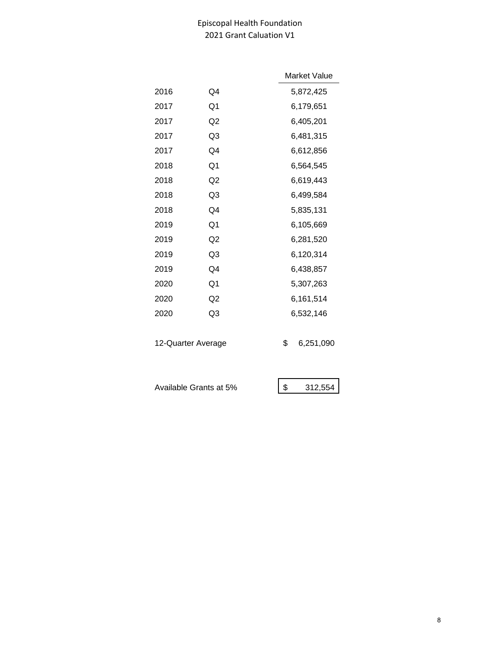# Episcopal Health Foundation 2021 Grant Caluation V1

|      |                | Market Value |
|------|----------------|--------------|
| 2016 | Q4             | 5,872,425    |
| 2017 | Q1             | 6,179,651    |
| 2017 | Q <sub>2</sub> | 6,405,201    |
| 2017 | Q3             | 6,481,315    |
| 2017 | Q4             | 6,612,856    |
| 2018 | Q1             | 6,564,545    |
| 2018 | Q <sub>2</sub> | 6,619,443    |
| 2018 | Q3             | 6,499,584    |
| 2018 | Q4             | 5,835,131    |
| 2019 | Q1             | 6,105,669    |
| 2019 | Q <sub>2</sub> | 6,281,520    |
| 2019 | Q3             | 6,120,314    |
| 2019 | Q4             | 6,438,857    |
| 2020 | Q1             | 5,307,263    |
| 2020 | Q2             | 6,161,514    |
| 2020 | Q3             | 6,532,146    |
|      |                |              |

12-Quarter Average  $$6,251,090$ 

Available Grants at 5%  $\begin{array}{|c|c|c|c|}\n\hline\n\text{$} & 312,554\n\end{array}$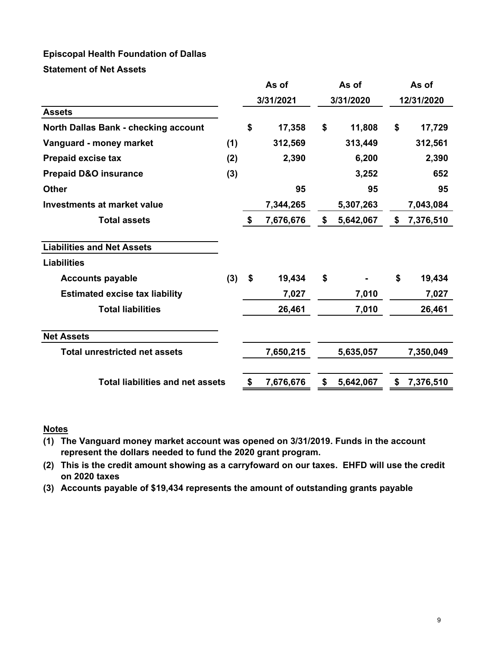# **Episcopal Health Foundation of Dallas**

**Statement of Net Assets**

|                                         |     |           | As of     |           | As of     | As of      |           |  |
|-----------------------------------------|-----|-----------|-----------|-----------|-----------|------------|-----------|--|
|                                         |     | 3/31/2021 |           | 3/31/2020 |           | 12/31/2020 |           |  |
| <b>Assets</b>                           |     |           |           |           |           |            |           |  |
| North Dallas Bank - checking account    |     | \$        | 17,358    | \$        | 11,808    | \$         | 17,729    |  |
| Vanguard - money market                 | (1) |           | 312,569   |           | 313,449   |            | 312,561   |  |
| <b>Prepaid excise tax</b>               | (2) |           | 2,390     |           | 6,200     |            | 2,390     |  |
| <b>Prepaid D&amp;O insurance</b>        | (3) |           |           |           | 3,252     |            | 652       |  |
| <b>Other</b>                            |     |           | 95        |           | 95        |            | 95        |  |
| <b>Investments at market value</b>      |     |           | 7,344,265 |           | 5,307,263 |            | 7,043,084 |  |
| <b>Total assets</b>                     |     | \$        | 7,676,676 | \$        | 5,642,067 | \$         | 7,376,510 |  |
| <b>Liabilities and Net Assets</b>       |     |           |           |           |           |            |           |  |
| <b>Liabilities</b>                      |     |           |           |           |           |            |           |  |
| <b>Accounts payable</b>                 | (3) | \$        | 19,434    | \$        |           | \$         | 19,434    |  |
| <b>Estimated excise tax liability</b>   |     |           | 7,027     |           | 7,010     |            | 7,027     |  |
| <b>Total liabilities</b>                |     |           | 26,461    |           | 7,010     |            | 26,461    |  |
| <b>Net Assets</b>                       |     |           |           |           |           |            |           |  |
| <b>Total unrestricted net assets</b>    |     |           | 7,650,215 |           | 5,635,057 |            | 7,350,049 |  |
| <b>Total liabilities and net assets</b> |     | \$        | 7,676,676 | \$        | 5,642,067 | \$         | 7,376,510 |  |
|                                         |     |           |           |           |           |            |           |  |

### **Notes**

- **(1) The Vanguard money market account was opened on 3/31/2019. Funds in the account represent the dollars needed to fund the 2020 grant program.**
- **(2) This is the credit amount showing as a carryfoward on our taxes. EHFD will use the credit on 2020 taxes**
- **(3) Accounts payable of \$19,434 represents the amount of outstanding grants payable**